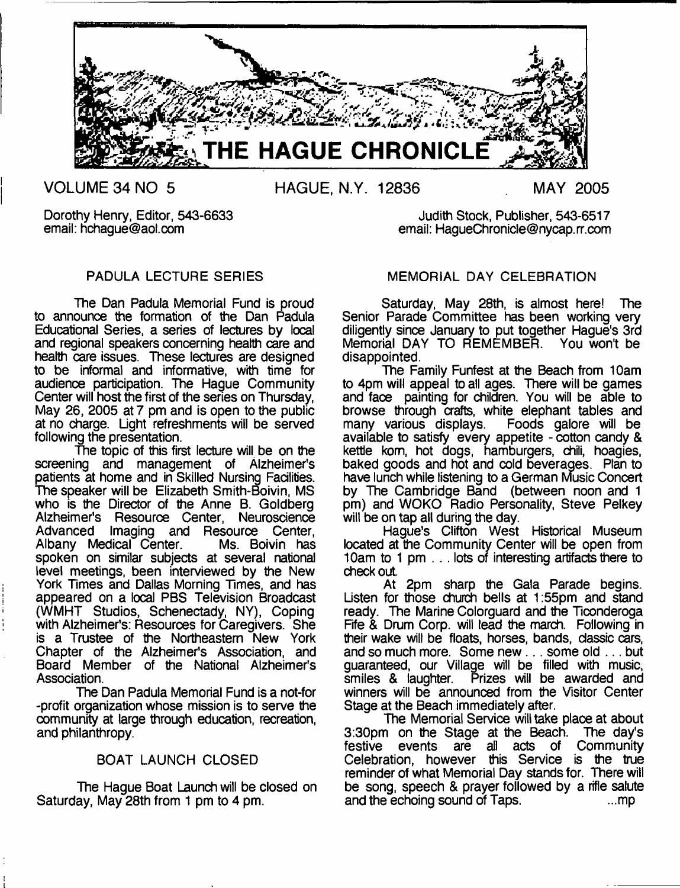

Dorothy Henry, Editor, 543-6633 Judith Stock, Publisher, 543-6517

# PADULA LECTURE SERIES

The Dan Padula Memorial Fund is proud to announce the formation of the Dan Padula Educational Series, a series of lectures by local and regional speakers concerning health care and health care issues. These lectures are designed to be informal and informative, with time for audience participation. The Hague Community Center will host the first of the series on Thursday, May 26, 2005 at 7 pm and is open to the public at no charge. Light refreshments will be served following the presentation.

The topic of this first lecture will be on the screening and management of Alzheimer's patients at home and in Skilled Nursing Facilities. The speaker will be Elizabeth Smith-Boivin, MS who is the Director of the Anne B. Goldberg Alzheimer's Resource Center, Neuroscience Advanced Imaging and Resource Center,<br>Albany Medical Center. Ms. Boivin has Albany Medical Center. spoken on similar subjects at several national level meetings, been interviewed by the New York Times and Dallas Morning Times, and has appeared on a local PBS Television Broadcast (WMHT Studios, Schenectady, NY), Coping with Alzheimer's: Resources for Caregivers. She is a Trustee of the Northeastern New York Chapter of the Alzheimer's Association, and Board Member of the National Alzheimer's **Association** 

The Dan Padula Memorial Fund is a not-for -profit organization whose mission is to serve the community at large through education, recreation, and philanthropy.

# BOAT LAUNCH CLOSED

The Hague Boat Launch will be closed on Saturday, May 28th from 1 pm to 4 pm.

# MEMORIAL DAY CELEBRATION

email: [HagueChronicle@nycap.rr.com](mailto:HagueChronicle@nycap.rr.com)

Saturday, May 28th, is almost here! The Senior Parade Committee has been working very diligently since January to put together Hague's 3rd Memorial DAY TO REMEMBER. You won't be disappointed.

The Family Funfest at the Beach from 10am to 4pm will appeal to all ages. There will be games and face painting for children. You will be able to browse through crafts, white elephant tables and<br>many various displays. Foods galore will be many various displays. available to satisfy every appetite - cotton candy & kettle kom, hot dogs, hamburgers, chili, hoagies, baked goods and hot and cold beverages. Plan to have lunch while listening to a German Music Concert by The Cambridge Band (between noon and 1 pm) and WOKO Radio Personality, Steve Pelkey will be on tap all during the day.

Hague's Clifton West Historical Museum located at the Community Center will be open from 10am to 1 pm . . . lots of interesting artifacts there to checkout

At 2pm sharp the Gala Parade begins. Listen for those church bells at 1:55pm and stand ready. The Marine Colorguard and the Ticonderoga Fife & Drum Corp. will lead the march. Following in their wake will be floats, horses, bands, classic cars, and so much more. Some new... some old ... but guaranteed, our Village will be filled with music,<br>smiles & laughter. Prizes will be awarded and Prizes will be awarded and winners will be announced from the Visitor Center Stage at the Beach immediately after.

The Memorial Service will take place at about 3:30pm on the Stage at the Beach. The day's festive events are all acts of Community Celebration, however this Service is the true reminder of what Memorial Day stands for. There will be song, speech & prayer followed by a rifle salute and the echoing sound of Taps. and the echoing sound of Taps.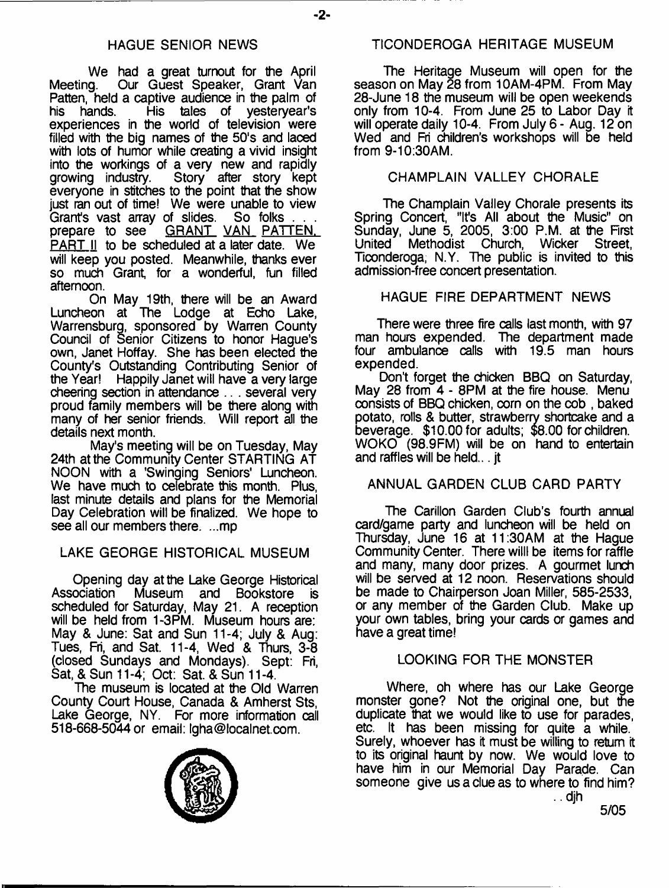We had a great turnout for the April<br>Meeting. Our Guest Speaker, Grant Van Our Guest Speaker, Grant Van Patten, held a captive audience in the palm of<br>his hands. His tales of vestervear's his hands. His tales of yesteryear's experiences in the world of television were filled with the big names of the 50's and laced with lots of humor while creating a vivid insight into the workings of a very new and rapidly growing industry. Story after story kept everyone in stitches to the point that the show just ran out of time! We were unable to view<br>Grant's vast array of slides. So folks ... Grant's vast array of slides.<br>prepare to see **GRANT** GRANT VAN PATTEN. PART II to be scheduled at a later date. We will keep you posted. Meanwhile, thanks ever so much Grant, for a wonderful, fun filled afternoon.

On May 19th, there will be an Award Luncheon at The Lodge at Echo Lake, Warrensburg, sponsored by Warren County Council of Senior Citizens to honor Hague's own, Janet Hoffay. She has been elected the County's Outstanding Contributing Senior of the Year! Happily Janet will have a very large cheering section in attendance .. . several very proud family members will be there along with many of her senior friends. Will report all the details next month.

May's meeting will be on Tuesday, May 24th at the Community Center STARTING AT NOON with a 'Swinging Seniors' Luncheon. We have much to celebrate this month. Plus, last minute details and plans for the Memorial Day Celebration will be finalized. We hope to see all our members there. ...mp

# LAKE GEORGE HISTORICAL MUSEUM

Opening day at the Lake George Historical<br>Association Museum and Bookstore is Museum and Bookstore is scheduled for Saturday, May 21. A reception will be held from 1-3PM. Museum hours are: May & June: Sat and Sun 11-4; July & Aug: Tues, Fri, and Sat. 11-4, Wed & Thurs, 3-8 (closed Sundays and Mondays). Sept: Fri, Sat, & Sun 11-4; Oct: Sat. & Sun 11-4.

The museum is located at the Old Warren County Court House, Canada & Amherst Sts, Lake George, NY. For more information call 518-668-5044 or email: [lgha@localnet.com](mailto:lgha@localnet.com).

# TICONDEROGA HERITAGE MUSEUM

The Heritage Museum will open for the season on May 28 from 10AM-4PM. From May 28-June 18 the museum will be open weekends only from 10-4. From June 25 to Labor Day it will operate daily 10-4. From July 6 - Aug. 12 on Wed and Fri children's workshops will be held from 9-10:30AM.

# CHAMPLAIN VALLEY CHORALE

The Champlain Valley Chorale presents its Spring Concert, "It's All about the Music" on Sunday, June 5, 2005, 3:00 P.M. at the First United Methodist Church, Wicker Street, Ticonderoga, N.Y. The public is invited to this admission-free concert presentation.

# HAGUE FIRE DEPARTMENT NEWS

There were three fire calls last month, with 97 man hours expended. The department made four ambulance calls with 19.5 man hours expended.

Don't forget the chicken BBQ on Saturday, May 28 from 4 - 8PM at the fire house. Menu consists of BBQ chicken, corn on the cob , baked potato, rolls & butter, strawberry shortcake and a beverage. \$10.00 for adults; \$8.00 for children. WOKO (98.9 FM) will be on hand to entertain and raffles will be held... jt

# ANNUAL GARDEN CLUB CARD PARTY

The Carillon Garden Club's fourth annual card/game party and luncheon will be held on Thursday, June 16 at 11:30AM at the Hague Community Center. There willl be items for raffle and many, many door prizes. A gourmet lunch will be served at 12 noon. Reservations should be made to Chairperson Joan Miller, 585-2533, or any member of the Garden Club. Make up your own tables, bring your cards or games and have a great time!

# LOOKING FOR THE MONSTER

Where, oh where has our Lake George monster gone? Not the original one, but the duplicate that we would like to use for parades. etc. It has been missing for quite a while. Surely, whoever has it must be willing to return it to its original haunt by now. We would love to have him in our Memorial Day Parade. Can someone give us a due as to where to find him?



5/05

.. djh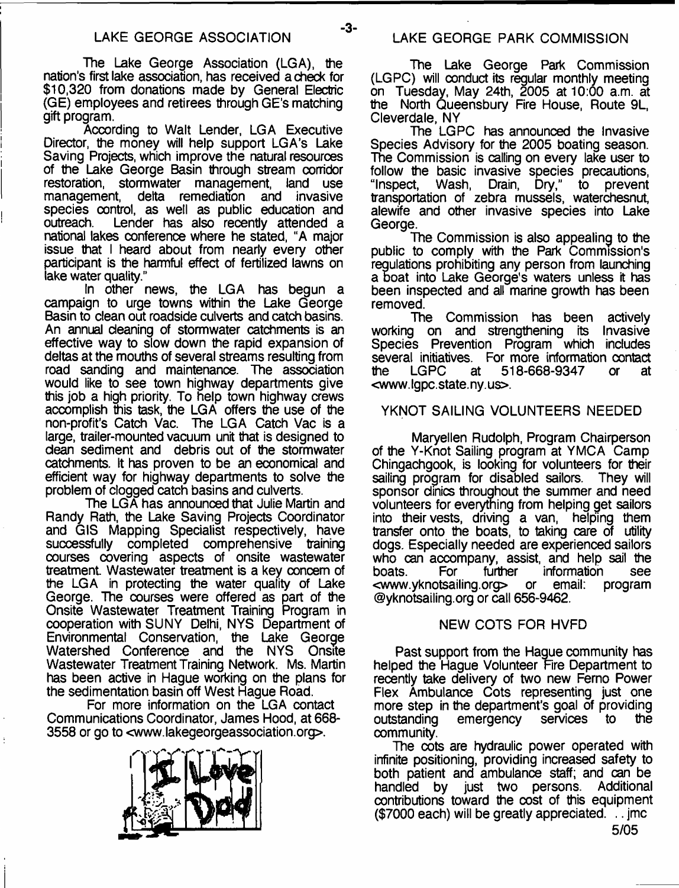-3-

The Lake George Association (LGA), the nation's first lake association, has received a check for \$10,320 from donations made by General Electric (GE) employees and retirees through GE's matching gift program.

According to Walt Lender, LGA Executive Director, the money will help support LGA's Lake Saving Projects, which improve the natural resources of the Lake George Basin through stream corridor restoration, stormwater management, land use<br>management, delta remediation and invasive delta remediation and invasive species control, as well as public education and outreach. Lender has also recently attended a Lender has also recently attended a national lakes conference where he stated, "A major issue that I heard about from nearly every other participant is the harmful effect of fertilized lawns on lake water quality."

In other news, the LGA has begun a campaign to urge towns within the Lake George Basin to clean out roadside culverts and catch basins. An annual cleaning of stormwater catchments is an effective way to slow down the rapid expansion of deltas at the mouths of several streams resulting from road sanding and maintenance. The association would like to see town highway departments give this job a high priority. To help town highway crews accomplish this task, the LGA offers the use of the non-profit's Catch Vac. The LGA Catch Vac is a large, trailer-mounted vacuum unit that is designed to dean sediment and debris out of the stormwater catchments. It has proven to be an economical and efficient way for highway departments to solve the problem of clogged catch basins and culverts.

The LGA has announced that Julie Martin and Randy Rath, the Lake Saving Projects Coordinator and GIS Mapping Specialist respectively, have successfully completed comprehensive training courses covering aspects of onsite wastewater treatment. Wastewater treatment is a key concern of the LGA in protecting the water quality of Lake George. The courses were offered as part of the Onsite Wastewater Treatment Training Program in cooperation with SUNY Delhi, NYS Department of Environmental Conservation, the Lake George Watershed Conference and the NYS Onsite Wastewater Treatment Training Network. Ms. Martin has been active in Hague working on the plans for the sedimentation basin off West Hague Road.

For more information on the LGA contact Communications Coordinator, James Hood, at 668- 3558 or go to <[www.lakegeorgeassociation.org>](http://www.lakegeorgeassociation.org).



The Lake George Park Commission (LGPC) will conduct its regular monthly meeting on Tuesday, May 24th, 2005 at 10:00 a.m. at the North Queensbury Fire House, Route 9L, Cleverdale, NY

The LGPC has announced the Invasive Species Advisory for the 2005 boating season. The Commission is calling on every lake user to follow the basic invasive species precautions,<br>"Inspect. Wash, Drain, Dry," to prevent Drain, Dry," to prevent transportation of zebra mussels, waterchesnut, alewife and other invasive species into Lake George.

The Commission is also appealing to the public to comply with the Park Commission's regulations prohibiting any person from launching a boat into Lake George's waters unless it has been inspected and all marine growth has been removed.

The Commission has been actively working on and strengthening its Invasive Species Prevention Program which includes several initiatives. For more information contact<br>the LGPC at 518-668-9347 or at 518-668-9347 or at <www. Igpc. state, ny. us>.

#### YKNOT SAILING VOLUNTEERS NEEDED

Maryellen Rudolph, Program Chairperson of the Y-Knot Sailing program at YMCA Camp Chingachgook, is looking for volunteers for their sailing program for disabled sailors. sponsor clinics throughout the summer and need volunteers for everything from helping get sailors into their vests, driving a van, helping them transfer onto the boats, to taking care of utility dogs. Especially needed are experienced sailors who can accompany, assist, and help sail the boats. For turther information see information see<br>email: program [<www.yknotsailing.org](http://www.yknotsailing.org)> or ©yknotsailing.org or call 656-9462.

#### NEW COTS FOR HVFD

Past support from the Hague community has helped the Hague Volunteer Fire Department to recently take delivery of two new Ferno Power Flex Ambulance Cots representing just one more step in the department's goal of providing outstanding emergency services to the community.

The cots are hydraulic power operated with infinite positioning, providing increased safety to both patient and ambulance staff; and can be<br>handled by just two persons. Additional handled by just two persons. contributions toward the cost of this equipment (\$7000 each) will be greatly appreciated. .. jmc

5/05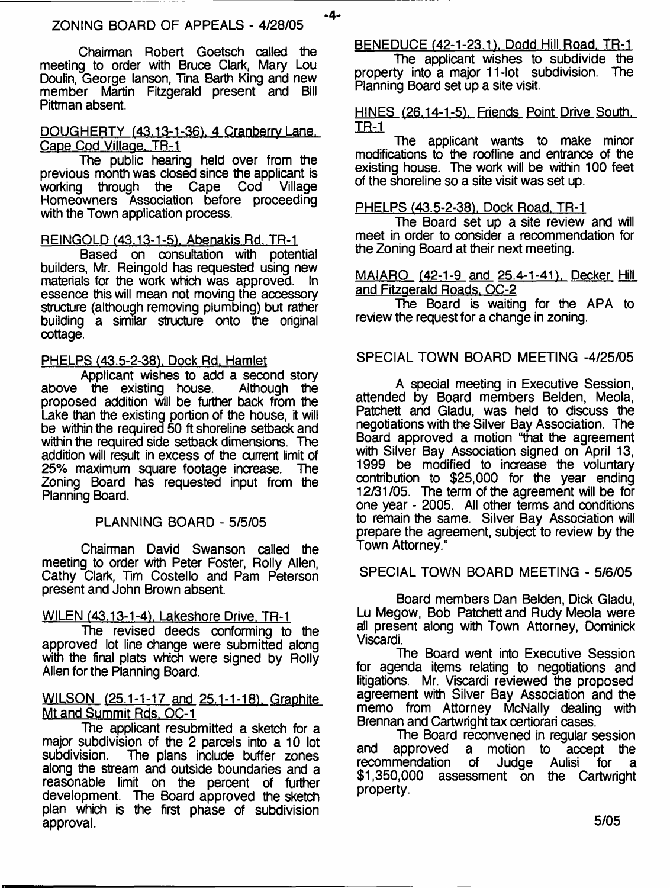-4-

Chairman Robert Goetsch called the meeting to order with Bruce Clark, Mary Lou Doulin, George lanson, Tina Barth King and new member Martin Fitzgerald present and Bill Pittman absent.

#### DOUGHERTY (43.13-1-36), 4 Cranberry Lane. Cape Cod Village. TR-1

The public hearing held over from the previous month was closed since the applicant is<br>working through the Cape Cod Village working through the Homeowners Association before proceeding with the Town application process.

#### REINGOLD (43.13-1-5). Abenakis Rd. TR-1

Based on consultation with potential builders, Mr. Reingold has requested using new<br>materials for the work which was approved. In materials for the work which was approved. essence this will mean not moving the accessory structure (although removing plumbing) but rather building a similar structure onto the original cottage.

#### PHELPS (43.5-2-38), Dock Rd. Hamlet

Applicant wishes to add a second story<br>the existing house. Although the above the existing house. proposed addition will be further back from the Lake than the existing portion of the house, it will be within the required 50 ft shoreline setback and within the required side setback dimensions. The addition will result in excess of the current limit of 25% maximum square footage increase. The 25% maximum square footage increase. Zoning Board has requested input from the Planning Board.

#### PLANNING BOARD - 5/5/05

Chairman David Swanson called the meeting to order with Peter Foster, Roily Allen, Cathy Clark, Tim Costello and Pam Peterson present and John Brown absent.

#### WILEN (43.13-1-4), Lakeshore Drive, TR-1

The revised deeds conforming to the approved lot line change were submitted along with the final plats which were signed by Rolly Allen for the Planning Board.

#### WILSON (25.1-1-17 and 25.1-1-18). Graphite Mt and Summit Rds. QC-1

The applicant resubmitted a sketch for a major subdivision of the 2 parcels into a 10 lot The plans include buffer zones along the stream and outside boundaries and a reasonable limit on the percent of further development. The Board approved the sketch plan which is the first phase of subdivision approval.

BENEDUCE (42-1-23.1). Dodd Hill Road. TR-1

The applicant wishes to subdivide the property into a major 11-lot subdivision. The Planning Board set up a site visit.

#### HINES (26.14-1-5). Friends Point Drive South. **IB=1**

The applicant wants to make minor modifications to the roofline and entrance of the existing house. The work will be within 100 feet of the shoreline so a site visit was set up.

#### PHELPS (43.5-2-38), Dock Road. TR-1

The Board set up a site review and will meet in order to consider a recommendation for the Zoning Board at their next meeting.

#### MAIARO (42-1-9 and 25.4-1-41). Decker Hill and Fitzgerald Roads. OC-2

The Board is waiting for the APA to review the request for a change in zoning.

#### SPECIAL TOWN BOARD MEETING -4/25/05

A special meeting in Executive Session, attended by Board members Belden, Meola, Patchett and Gladu, was held to discuss the negotiations with the Silver Bay Association. The Board approved a motion "that the agreement with Silver Bay Association signed on April 13, 1999 be modified to increase the voluntary contribution to \$25,000 for the year ending 12/31/05. The term of the agreement will be for one year - 2005. All other terms and conditions to remain the same. Silver Bay Association will prepare the agreement, subject to review by the Town Attorney."

#### SPECIAL TOWN BOARD MEETING - 5/6/05

Board members Dan Belden, Dick Gladu, Lu Megow, Bob Patchett and Rudy Meola were all present along with Town Attorney, Dominick Viscardi.

The Board went into Executive Session for agenda items relating to negotiations and litigations. Mr. Viscardi reviewed the proposed agreement with Silver Bay Association and the memo from Attorney McNally dealing with Brennan and Cartwright tax certiorari cases.

The Board reconvened in regular session and approved a motion to accept the<br>recommendation of Judge Aulisi for a recommendation of Judge Aulisi for a \$1,350,000 assessment on the Cartwright property.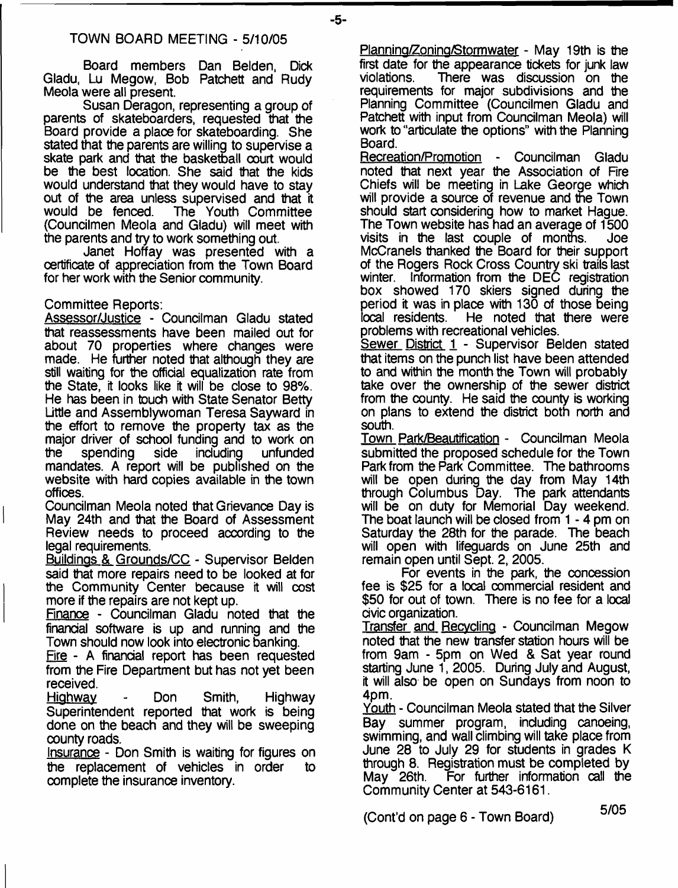Board members Dan Belden, Dick Gladu, Lu Megow, Bob Patchett and Rudy Meola were all present.

Susan Deragon, representing a group of parents of skateboarders, requested that the Board provide a place for skateboarding. She stated that the parents are willing to supervise a skate park and that the basketball court would be the best location. She said that the kids would understand that they would have to stay out of the area unless supervised and that it would be fenced. The Youth Committee The Youth Committee. (Councilmen Meola and Gladu) will meet with the parents and try to work something out.

Janet Hoffay was presented with a certificate of appreciation from the Town Board for her work with the Senior community.

#### Committee Reports:

Assessor/Justice - Councilman Gladu stated that reassessments have been mailed out for about 70 properties where changes were made. He further noted that although they are still waiting for the official equalization rate from the State, it looks like it will be close to 98%. He has been in touch with State Senator Betty Little and Assemblywoman Teresa Sayward in the effort to remove the property tax as the major driver of school funding and to work on the spending side including unfunded mandates. A report will be published on the website with hard copies available in the town offices.

Councilman Meola noted that Grievance Day is May 24th and that the Board of Assessment Review needs to proceed according to the legal requirements.

Buildings & Grounds/CC - Supervisor Belden said that more repairs need to be looked at for the Community Center because it will cost more if the repairs are not kept up.

Finance - Councilman Gladu noted that the financial software is up and running and the Town should now look into electronic banking.

Fire - A financial report has been requested from the Fire Department but has not yet been received.

Highway - Don Smith, Highway Superintendent reported that work is being done on the beach and they will be sweeping county roads.

Insurance - Don Smith is waiting for figures on the replacement of vehicles in order to complete the insurance inventory.

Planning/Zoning/Stormwater - May 19th is the first date for the appearance tickets for junk law violations. There was discussion on the requirements for major subdivisions and the Planning Committee (Councilmen Gladu and Patchett with input from Councilman Meola) will work to "articulate the options" with the Planning Board.

Recreation/Promotion - Councilman Gladu noted that next year the Association of Fire Chiefs will be meeting in Lake George which will provide a source of revenue and the Town should start considering how to market Hague. The Town website has had an average of 1500 visits in the last couple of months. Joe McCranels thanked the Board for their support of the Rogers Rock Cross Country ski trails last winter. Information from the DEC registration box showed 170 skiers signed during the period it was in place with 130 of those being<br>local residents. He noted that there were He noted that there were problems with recreational vehicles.

Sewer District 1 - Supervisor Belden stated that items on the punch list have been attended to and within the month the Town will probably take over the ownership of the sewer district from the county. He said the county is working on plans to extend the district both north and south.

Town Park/Beautification - Councilman Meola submitted the proposed schedule for the Town Park from the Park Committee. The bathrooms will be open during the day from May 14th through Columbus Day. The park attendants will be on duty for Memorial Day weekend. The boat launch will be closed from 1 - 4 pm on Saturday the 28th for the parade. The beach will open with lifeguards on June 25th and remain open until Sept. 2, 2005.

For events in the park, the concession fee is \$25 for a local commercial resident and \$50 for out of town. There is no fee for a local civic organization.

Transfer and Recycling - Councilman Megow noted that the new transfer station hours will be from 9am - 5pm on Wed & Sat year round starting June 1, 2005. During July and August, it will also be open on Sundays from noon to 4pm.

Youth - Councilman Meola stated that the Silver Bay summer program, including canoeing, swimming, and wall climbing will take place from June 28 to July 29 for students in grades K through 8. Registration must be completed by May 26th. For further information call the Community Center at 543-6161.

(Cont'd on page 6 - Town Board) 5/05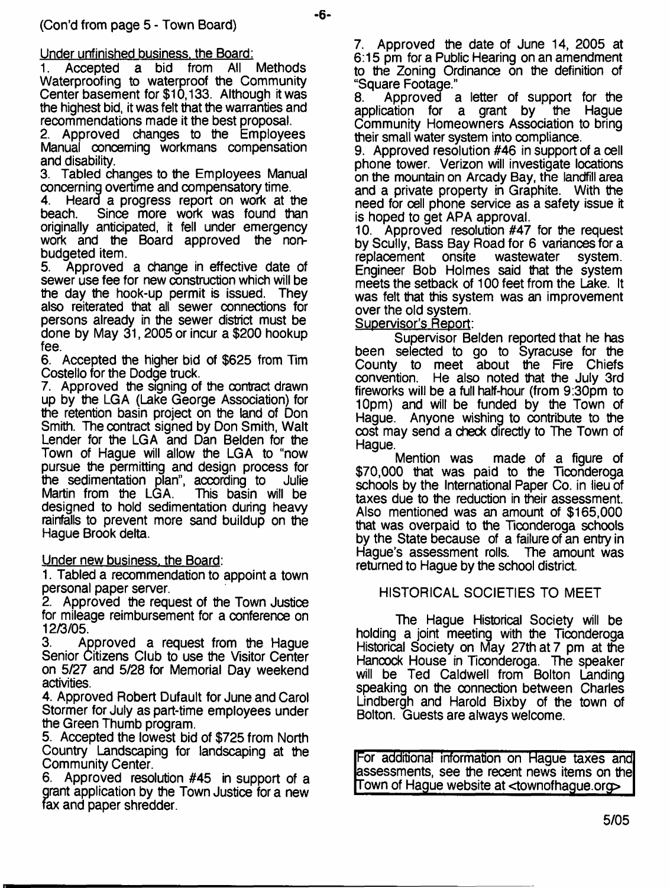Under unfinished business, the Board:<br>1. Accepted a bid from All

1. Accepted a bid from All Methods Waterproofing to waterproof the Community Center basement for \$10,133. Although itwas the highest bid, it was felt that the warranties and recommendations made it the best proposal.

2. Approved changes to the Employees Manual oonceming workmans compensation and disability.<br>3. Tabled ch

3. Tabled changes to the Employees Manual concerning overtime and compensatory time.<br>4. Heard a progress report on work at t

4. Heard a progress report on work at the beach. Since more work was found than originally anticipated, it fell under emergency work and the Board approved the nonbudgeted item.

5. Approved a change in effective date of sewer use fee for new construction which will be the day the hook-up permit is issued. They also reiterated that all sewer connections for persons already in the sewer district must be done by May 31,2005 or incur a \$200 hookup fee.

6. Accepted the higher bid of \$625 from Tim Costello for the Dodge truck.

7. Approved the signing of the contract drawn up by the LGA (Lake George Association) for the retention basin project on the land of Don Smith. The contract signed by Don Smith, Walt Lender for the LGA and Dan Belden for the Town of Hague will allow the LGA to "now pursue the permitting and design process for<br>the sedimentation plan", according to Julie the sedimentation plan", according to Martin from the LGA. This basin will be designed to hold sedimentation during heavy rainfalls to prevent more sand buildup on the Hague Brook delta.

Under new business, the Board:

1. Tabled a recommendation to appoint a town personal paper server.

2. Approved the request of the Town Justice for mileage reimbursement for a conference on 12/3/05.

3. Approved a request from the Hague Senior Citizens Club to use the Visitor Center on 5/27 and 5/28 for Memorial Day weekend activities.

4. Approved Robert Dufault for June and Carol Stormer for July as part-time employees under the Green Thumb program.

5. Accepted the lowest bid of \$725 from North Country Landscaping for landscaping at the Community Center.

6. Approved resolution #45 in support of a grant application by the Town Justice for a new fax and paper shredder.

7. Approved the date of June 14, 2005 at 6:15 pm for a Public Hearing on an amendment to the Zoning Ordinance on the definition of "Square Footage."

8. Approved a letter of support for the application for a grant by the Haque application for a grant by Community Homeowners Association to bring their small water system into compliance.

9. Approved resolution #46 in support of a cell phone tower. Verizon will investigate locations on the mountain on Arcady Bay, the landfill area and a private property in Graphite. With the need for cell phone service as a safety issue it is hoped to get APA approval.

10. Approved resolution #47 for the request by Scully, Bass Bay Road for 6 variances for a<br>replacement onsite wastewater system. replacement onsite wastewater system. Engineer Bob Holmes said that the system meets the setback of 100 feet from the Lake. It was felt that this system was an improvement over the old system.

Supervisor's Report:

-6-

Supervisor Belden reported that he has been selected to go to Syracuse for the County to meet about the Fire Chiefs<br>convention. He also noted that the July 3rd convention. He also noted that the July 3rd fireworks will be a full half-hour (from 9:30pm to 10pm) and will be funded by the Town of Hague. Anyone wishing to contribute to the cost may send a check directly to The Town of Hague.<br>Mention was

made of a figure of \$70,000 that was paid to the Ticonderoga schools by the International Paper Co. in lieu of taxes due to the reduction in their assessment. Also mentioned was an amount of \$165,000 that was overpaid to the Ticonderoga schools by the State because of a failure of an entry in Hague's assessment rolls. The amount was returned to Hague by the school district.

HISTORICAL SOCIETIES TO MEET

The Hague Historical Society will be holding a joint meeting with the Ticonderoga Historical Society on May 27th at 7 pm at the Hancock House in Ticonderoga. The speaker will be Ted Caldwell from Bolton Landing speaking on the connection between Charles Lindbergh and Harold Bixby of the town of Bolton. Guests are always welcome.

For additional information on Hague taxes and assessments, see the recent news items on the Town of Hague website at <townofhague.org>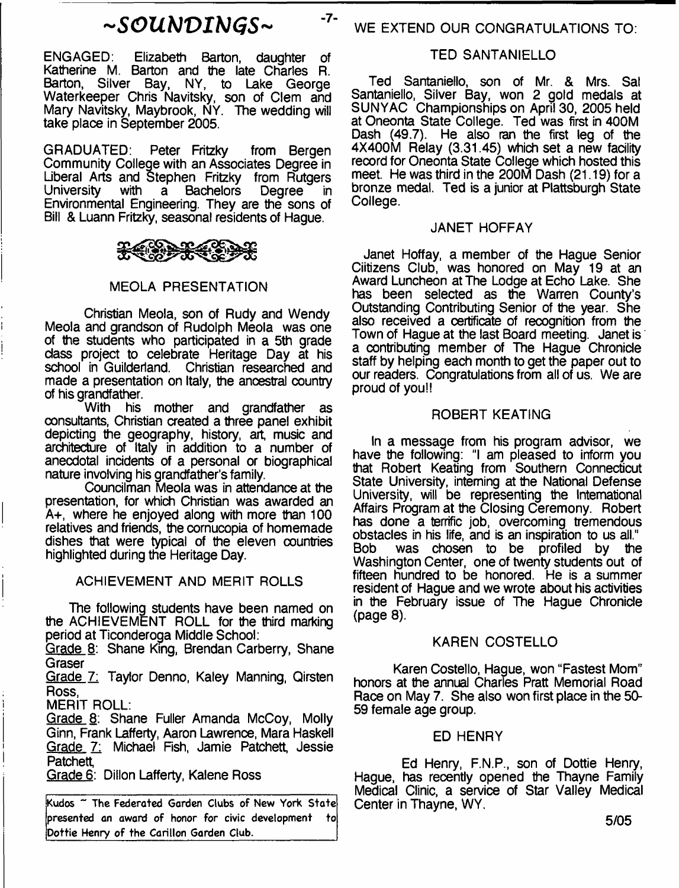ENGAGED: Elizabeth Barton, daughter of Katherine M. Barton and the late Charles R. Barton, Silver Bay, NY, to Lake George Waterkeeper Chris Navitsky, son of Clem and Mary Navitsky, Maybrook, NY. The wedding will take place in September 2005.

GRADUATED: Peter Fritzky from Bergen Community College with an Associates Degree in Liberal Arts and Stephen Fritzky from Rutgers University with a Bachelors Degree in Environmental Engineering. They are the sons of Bill & Luann Fritzky, seasonal residents of Hague.

# <del>۩≥€€</del>€€

### MEOLA PRESENTATION

Christian Meola, son of Rudy and Wendy Meola and grandson of Rudolph Meola was one of the students who participated in a 5th grade class project to celebrate Heritage Day at his school in Guilderland. Christian researched and made a presentation on Italy, the ancestral country of his grandfather.

With his mother and grandfather as consultants, Christian created a three panel exhibit depicting the geography, history, art, music and architecture of Italy in addition to a number of anecdotal incidents of a personal or biographical nature involving his grandfather's family.

Councilman Meola was in attendance at the presentation, for which Christian was awarded an A+, where he enjoyed along with more than 100 relatives and friends, the cornucopia of homemade dishes that were typical of the eleven countries highlighted during the Heritage Day.

#### ACHIEVEMENT AND MERIT ROLLS

The following students have been named on the ACHIEVEMENT ROLL for the third marking period at Ticonderoga Middle School:

Grade 8: Shane King, Brendan Carberry, Shane Graser

Grade 7: Taylor Denno, Kaley Manning, Qirsten Ross,

MERIT ROLL:

Grade 8: Shane Fuller Amanda McCoy, Molly Ginn, Frank Lafferty, Aaron Lawrence, Mara Haskell Grade 7: Michael Fish, Jamie Patchett, Jessie Patchett,

Grade 6: Dillon Lafferty, Kalene Ross

Kudos ~ The Federated Garden Clubs of New York State presented an award of honor for civic development to Dottie Henry of the Carillon Garden Club.

# TED SANTANIELLO

Ted Santaniello, son of Mr. & Mrs. Sal Santaniello, Silver Bay, won 2 gold medals at SUNYAC Championships on April 30, 2005 held at Oneonta State College. Ted was first in 400M Dash (49.7). He also ran the first leg of the 4X400M Relay (3.31.45) which set a new facility record for Oneonta State College which hosted this meet. He was third in the 200M Dash (21.19) for a bronze medal. Ted is a junior at Plattsburgh State College.

# JANET HOFFAY

Janet Hoffay, a member of the Hague Senior Ciitizens Club, was honored on May 19 at an Award Luncheon at The Lodge at Echo Lake. She has been selected as the Warren County's Outstanding Contributing Senior of the year. She also received a certificate of recognition from the Town of Hague at the last Board meeting. Janet is a contributing member of The Haque Chronicle staff by helping each month to get the paper out to our readers. Congratulations from all of us. We are proud of you!!

#### ROBERT KEATING

In a message from his program advisor, we have the following: "I am pleased to inform you that Robert Keating from Southern Connecticut State University, interning at the National Defense University, will be representing the International Affairs Program at the Closing Ceremony. Robert has done a terrific job, overcoming tremendous obstacles in his life, and is an inspiration to us all." was chosen to be profiled by the Washington Center, one of twenty students out of fifteen hundred to be honored. He is a summer resident of Hague and we wrote about his activities in the February issue of The Hague Chronicle (page 8).

#### KAREN COSTELLO

Karen Costello, Hague, won "Fastest Mom" honors at the annual Charles Pratt Memorial Road Race on May 7. She also won first place in the 50- 59 female age group.

# ED HENRY

Ed Henry, F.N.P., son of Dottie Henry, Hague, has recently opened the Thayne Family Medical Clinic, a service of Star Valley Medical Center in Thayne, WY.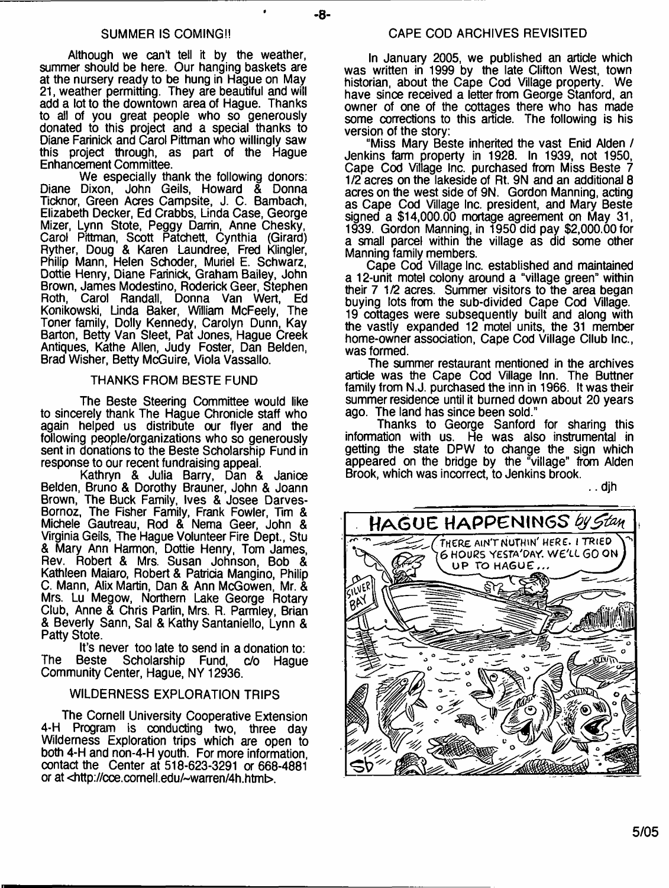Although we cant tell it by the weather, summer should be here. Our hanging baskets are at the nursery ready to be hung in Hague on May 21, weather permitting. They are beautiful and will add a lot to the downtown area of Hague. Thanks to all of you great people who so generously donated to this project and a special thanks to Diane Farinick and Carol Pittman who willingly saw this project through, as part of the Hague Enhancement Committee.

We especially thank the following donors: Diane Dixon, John Geils, Howard & Donna Ticknor, Green Acres Campsite, J. C. Bambach, Elizabeth Decker, Ed Crabbs, Linda Case, George Mizer, Lynn Stote, Peggy Darrin, Anne Chesky, Carol Pittman, Scott Patchett, Cynthia (Girard) Ryther, Doug & Karen Laundree, Fred Klingler, Philip Mann, Helen Schoder, Muriel E. Schwarz, Dottie Henry, Diane Farinick, Graham Bailey, John Brown, James Modestino, Roderick Geer, Stephen Carol Randall, Donna Van Wert, Ed Konikowski, Linda Baker, William McFeely, The Toner family, Dolly Kennedy, Carolyn Dunn, Kay Barton, Betty Van Sleet, Pat Jones, Hague Creek Antiques, Kathe Allen, Judy Foster, Dan Belden, Brad Wisher, Betty McGuire, Viola Vassallo.

#### THANKS FROM BESTE FUND

The Beste Steering Committee would like to sincerely thank The Hague Chronicle staff who again helped us distribute our flyer and the following people/organizations who so generously sent in donations to the Beste Scholarship Fund in response to our recent fundraising appeal.

Kathryn & Julia Barry, Dan & Janice Belden, Bruno & Dorothy Brauner, John & Joann Brown, The Buck Family, Ives & Josee Darves-Bornoz, The Fisher Family, Frank Fowler, Tim & Michele Gautreau, Rod & Nema Geer, John & Virginia Geils, The Hague Volunteer Fire Dept., Stu & Mary Ann Harmon, Dottie Henry, Tom James, Rev. Robert & Mrs. Susan Johnson, Bob & Kathleen Maiaro, Robert & Patricia Mangino, Philip C. Mann, Alix Martin, Dan & Ann McGowen, Mr. & Mrs. Lu Megow, Northern Lake George Rotary Club, Anne & Chris Parlin, Mrs. R. Parmley, Brian & Beverly Sann, Sal & Kathy Santaniello, Lynn & Patty Stote.

It's never too late to send in a donation to:<br>Beste Scholarship Fund, c/o Haque The Beste Scholarship Fund, Community Center, Hague, NY 12936.

#### WILDERNESS EXPLORATION TRIPS

The Cornell University Cooperative Extension 4-H Program is conducting two, three day Wilderness Exploration trips which are open to both 4-H and non-4-H youth. For more information, contact the Center at 518-623-3291 a 668-4881 or at <http://cce.cornell.edu/~warren/4h.html

In January 2005, we published an article which was written in 1999 by the late Clifton West, town historian, about the Cape Cod Village property. We have since received a letter from George Stanford, an owner of one of the cottages there who has made some corrections to this article. The following is his version of the story:

"Miss Mary Beste inherited the vast Enid Alden / Jenkins farm property in 1928. In 1939, not 1950, Cape Cod Village Inc. purchased from Miss Beste 7 1/2 acres on the lakeside of Rt. 9N and an additional 8 acres on the west side of 9N. Gordon Manning, acting as Cape Cod Village Inc. president, and Mary Beste signed a \$14,000.00 mortage agreement on May 31, 1939. Gordon Manning, in 1950 did pay \$2,000.00 for a small parcel within the village as did some other Manning family members.

Cape Cod Village Inc. established and maintained a 12-unit motel colony around a "village green" within their 7 1/2 acres. Summer visitors to the area began buying lots from the sub-divided Cape Cod Village. 19 cottages were subsequently built and along with the vastly expanded 12 motel units, the 31 member home-owner association, Cape Cod Village Cllub Inc., was formed.

The summer restaurant mentioned in the archives article was the Cape Cod Village Inn. The Buttner family from N.J. purchased the inn in 1966. It was their summer residence until it burned down about 20 years ago. The land has since been sold."

Thanks to George Sanford for sharing this information with us. He was also instrumental in getting the state DPW to change the sign which appeared on the bridge by the "village" from Alden Brook, which was incorrect, to Jenkins brook.

.. djh

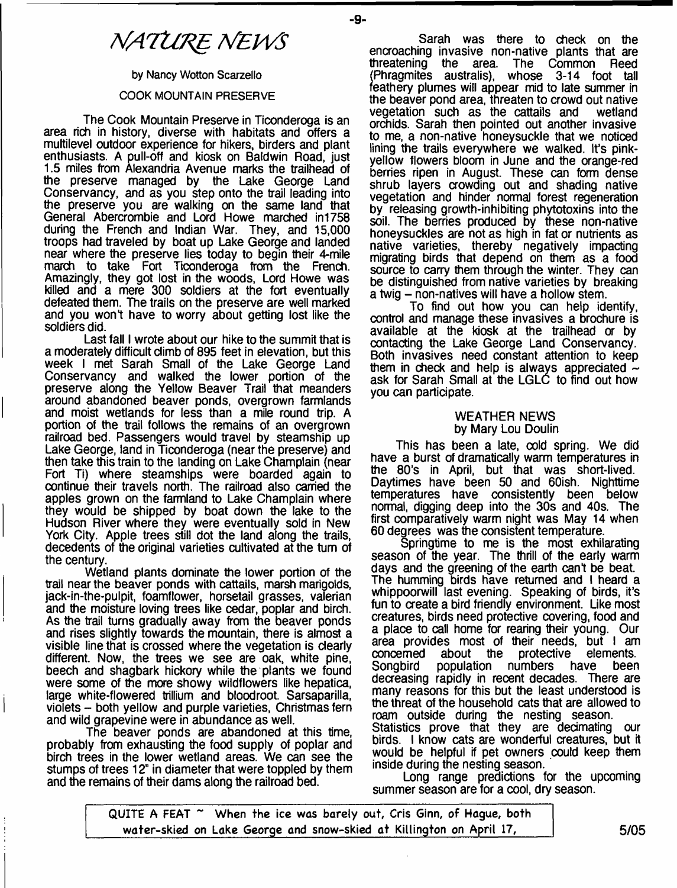# *MATURE TSfEWS*

**by Nancy Wotton Scarzello**

#### **COOK MOUNTAIN PRESERVE**

The Cook Mountain Preserve in Ticonderoga is an area rich in history, diverse with habitats and offers a multilevel outdoor experience for hikers, birders and plant enthusiasts. A pull-off and kiosk on Baldwin Road, just 1.5 miles from Alexandria Avenue marks the trailhead of the preserve managed by the Lake George Land Conservancy, and as you step onto the trail leading into the preserve you are walking on the same land that General Abercrombie and Lord Howe marched in1758 during the French and Indian War. They, and 15,000 troops had traveled by boat up Lake George and landed near where the preserve lies today to begin their 4-mile march to take Fort Ticonderoga from the French. Amazingly, they got lost in the woods, Lord Howe was killed and a mere 300 soldiers at the fort eventually defeated them. The trails on the preserve are well marked and you wont have to worry about getting lost like the soldiers did.

Last fall I wrote about our hike to the summit that is a moderately difficult climb of 895 feet in elevation, but this week I met Sarah Small of the Lake George Land Conservancy and walked the lower portion of the preserve along the Yellow Beaver Trail that meanders around abandoned beaver ponds, overgrown farmlands and moist wetlands for less than a mile round trip. A portion of the trail follows the remains of an overgrown railroad bed. Passengers would travel by steamship up Lake George, land in Ticonderoga (near the preserve) and then take this train to the landing on Lake Champlain (near Fort Ti) where steamships were boarded again to continue their travels north. The railroad also carried the apples grown on the farmland to Lake Champlain where they would be shipped by boat down the lake to the Hudson River where they were eventually sold in New York City. Apple trees still dot the land along the trails, decedents of the original varieties cultivated at the turn of the century.

Wetland plants dominate the lower portion of the trail near the beaver ponds with cattails, marsh marigolds, jack-in-the-pulpit, foamflower, horsetail grasses, valerian and the moisture loving trees like cedar, poplar and birch. As the trail turns gradually away from the beaver ponds and rises slightly towards the mountain, there is almost a visible line that is crossed where the vegetation is clearly different. Now, the trees we see are oak, white pine, beech and shagbark hickory while the plants we found were some of the more showy wildflowers like hepatica, large white-flowered trillium and bloodroot. Sarsaparilla, violets - both yellow and purple varieties, Christmas fern and wild grapevine were in abundance as well.

The beaver ponds are abandoned at this time, probably from exhausting the food supply of poplar and birch trees in the lower wetland areas. We can see the stumps of trees 12" in diameter that were toppled by them and the remains of their dams along the railroad bed.

Sarah was there to check on the encroaching invasive non-native plants that are<br>threatening the area. The Common Reed threatening the area. (Phragmites australis), whose 3-14 foot tall feathery plumes will appear mid to late summer in the beaver pond area, threaten to crowd out native<br>vegetation such as the cattails and wetland vegetation such as the cattails and orchids. Sarah then pointed out another invasive to me, a non-native honeysuckle that we noticed lining the trails everywhere we walked. It's pinkyellow flowers bloom in June and the orange-red berries ripen in August. These can form dense shrub layers crowding out and shading native vegetation and hinder normal forest regeneration by releasing growth-inhibiting phytotoxins into the soil. The berries produced by these non-native honeysuckles are not as high in fat or nutrients as native varieties, thereby negatively impacting migrating birds that depend on them as a food source to carry them through the winter. They can be distinguished from native varieties by breaking a twig - non-natives will have a hollow stem.

To find out how you can help identify, control and manage these invasives a brochure is available at the kiosk at the trailhead or by contacting the Lake George Land Conservancy. Both invasives need constant attention to keep them in check and help is always appreciated  $\sim$ ask for Sarah Small at the LGLC to find out how you can participate.

#### WEATHER NEWS by Mary Lou Doulin

This has been a late, cold spring. We did have a burst of dramatically warm temperatures in the 80's in April, but that was short-lived. Daytimes have been 50 and 60ish. Nighttime temperatures have consistently been below normal, digging deep into the 30s and 40s. The first comparatively warm night was May 14 when 60 degrees was the consistent temperature.

Springtime to me is the most exhilarating season of the year. The thrill of the early warm days and the greening of the earth can't be beat. The humming birds have returned and I heard a whippoorwill last evening. Speaking of birds, it's fun to create a bird friendly environment. Like most creatures, birds need protective covering, food and a place to call home for rearing their young. Our area provides most of their needs, but I am concerned about the protective elements.<br>Songbird population numbers have been population decreasing rapidly in recent decades. There are many reasons for this but the least understood is the threat of the household cats that are allowed to roam outside during the nesting season. Statistics prove that they are decimating our birds. I know cats are wonderful creatures, but it would be helpful if pet owners could keep them

inside during the nesting season. Long range predictions for the upcoming summer season are for a cool, dry season.

**QUITE A FEAT ~ When the ice was barely out, Cris Ginn, of Kague, both** water-skied on Lake George and snow-skied at Killington on April 17, Theorgess of the S/05